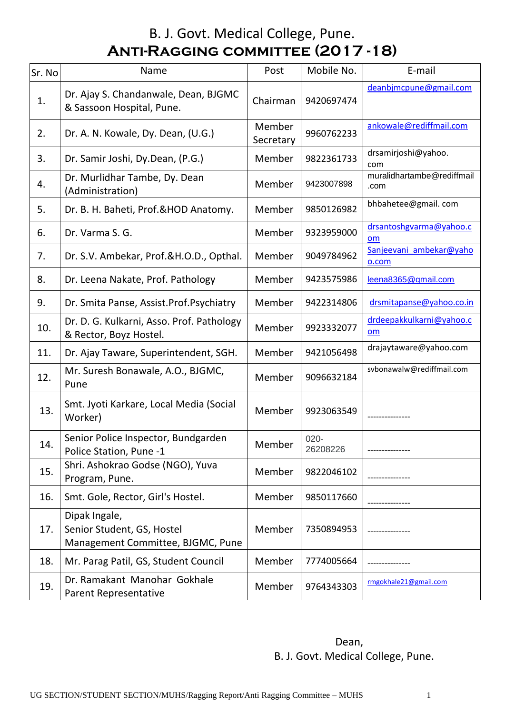## B. J. Govt. Medical College, Pune. **Anti-Ragging committee (2017 -18)**

| Sr. No | Name                                                                             | Post                | Mobile No.          | E-mail                             |
|--------|----------------------------------------------------------------------------------|---------------------|---------------------|------------------------------------|
| 1.     | Dr. Ajay S. Chandanwale, Dean, BJGMC<br>& Sassoon Hospital, Pune.                | Chairman            | 9420697474          | deanbjmcpune@gmail.com             |
| 2.     | Dr. A. N. Kowale, Dy. Dean, (U.G.)                                               | Member<br>Secretary | 9960762233          | ankowale@rediffmail.com            |
| 3.     | Dr. Samir Joshi, Dy.Dean, (P.G.)                                                 | Member              | 9822361733          | drsamirjoshi@yahoo.<br>com         |
| 4.     | Dr. Murlidhar Tambe, Dy. Dean<br>(Administration)                                | Member              | 9423007898          | muralidhartambe@rediffmail<br>.com |
| 5.     | Dr. B. H. Baheti, Prof.&HOD Anatomy.                                             | Member              | 9850126982          | bhbahetee@gmail.com                |
| 6.     | Dr. Varma S. G.                                                                  | Member              | 9323959000          | drsantoshgvarma@yahoo.c<br>om      |
| 7.     | Dr. S.V. Ambekar, Prof.&H.O.D., Opthal.                                          | Member              | 9049784962          | Sanjeevani ambekar@yaho<br>o.com   |
| 8.     | Dr. Leena Nakate, Prof. Pathology                                                | Member              | 9423575986          | leena8365@gmail.com                |
| 9.     | Dr. Smita Panse, Assist.Prof.Psychiatry                                          | Member              | 9422314806          | drsmitapanse@yahoo.co.in           |
| 10.    | Dr. D. G. Kulkarni, Asso. Prof. Pathology<br>& Rector, Boyz Hostel.              | Member              | 9923332077          | drdeepakkulkarni@yahoo.c<br>om     |
| 11.    | Dr. Ajay Taware, Superintendent, SGH.                                            | Member              | 9421056498          | drajaytaware@yahoo.com             |
| 12.    | Mr. Suresh Bonawale, A.O., BJGMC,<br>Pune                                        | Member              | 9096632184          | svbonawalw@rediffmail.com          |
| 13.    | Smt. Jyoti Karkare, Local Media (Social<br>Worker)                               | Member              | 9923063549          |                                    |
| 14.    | Senior Police Inspector, Bundgarden<br>Police Station, Pune -1                   | Member              | $020 -$<br>26208226 |                                    |
| 15.    | Shri. Ashokrao Godse (NGO), Yuva<br>Program, Pune.                               | Member              | 9822046102          |                                    |
| 16.    | Smt. Gole, Rector, Girl's Hostel.                                                | Member              | 9850117660          |                                    |
| 17.    | Dipak Ingale,<br>Senior Student, GS, Hostel<br>Management Committee, BJGMC, Pune | Member              | 7350894953          |                                    |
| 18.    | Mr. Parag Patil, GS, Student Council                                             | Member              | 7774005664          |                                    |
| 19.    | Dr. Ramakant Manohar Gokhale<br>Parent Representative                            | Member              | 9764343303          | rmgokhale21@gmail.com              |